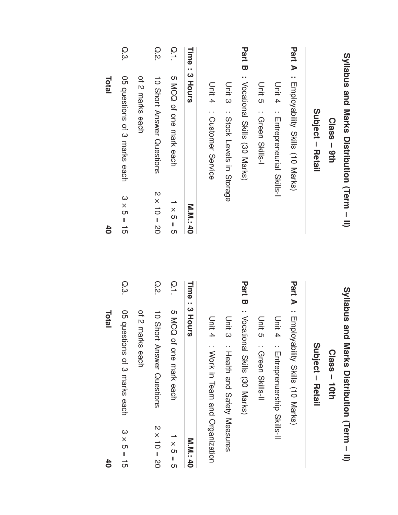|        | Syllabus and Marks Distription (Term - II)<br>$Class - 9th$ |                    | <b>Syllabus and</b><br><b>Narks Distribution ()</b><br>$Class - 10th$ |
|--------|-------------------------------------------------------------|--------------------|-----------------------------------------------------------------------|
|        | Subject - Retail                                            |                    | Subject - Retail                                                      |
|        | <b>Part A</b> : Employability Skills (10 Marks)             |                    | Part A<br>: Employability Skills (10 Marks)                           |
|        | Unit 4 : Entrepreneurial Skills-I                           |                    | Unit 4<br>: Entreprenuership Ski                                      |
|        | Unit 5<br>: Green Skills-I                                  |                    | Unit 5<br>Green Skills-II                                             |
| Part B | : Vocational Skills (30 Marks)                              |                    | Part B<br>: Vocational Skills (30 Narks)                              |
|        | Unit 3 : Stock Levels in Storage                            |                    | Unit 3<br>: Health and Safety M                                       |
|        | Unit 4<br>: Customer Service                                |                    | Unit 4<br>: Work in Team and O                                        |
| Time   | SINOH <sub>S</sub>                                          | <b>M.M.: 40</b>    | Time<br>: 3 Hours                                                     |
| O.1    |                                                             | $1 \times 5 = 5$   | Q.1<br><b>S MCQ</b><br>of one mark each                               |
| O.2    | 10 Short Answer Questions                                   | $2 \times 10 = 20$ | Q.2<br>10 Short Answer Questions                                      |
|        | of 2 marks each                                             |                    | of 2 marks each                                                       |
| Q.3    | O5 questions of 3 marks each                                | $3 \times 5 = 15$  | Q.3<br>05 questions of 3 marks each                                   |
|        | <b>Total</b>                                                | 40                 | <b>Total</b>                                                          |
|        |                                                             |                    |                                                                       |

Measures

Organization

M.<br>M.

 $\overline{\phantom{0}}$ × ပာ  $\overline{\phantom{a}}$ ပာ

 $\mathsf{\sim}$ × さ  $\overline{\phantom{a}}$ م<br>0

ယ × সে  $\overline{\phantom{a}}$ —<br>თ

40

40

(Term

Skills-II

–  $\equiv$